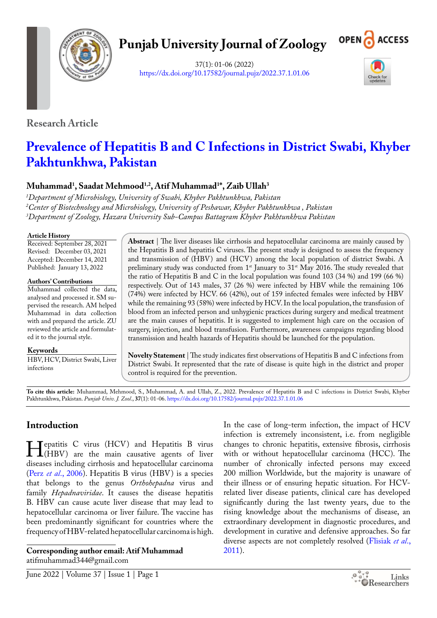

# **Punjab University Journal of Zoology**



37(1): 01-06 (2022) <https://dx.doi.org/10.17582/journal.pujz/2022.37.1.01.06>



**Research Article**

# **Prevalence of Hepatitis B and C Infections in District Swabi, Khyber Pakhtunkhwa, Pakistan**

# **Muhammad1 , Saadat Mehmood1,2, Atif Muhammad1 \*, Zaib Ullah3**

*1 Department of Microbiology, University of Swabi, Khyber Pakhtunkhwa, Pakistan 2 Center of Biotechnology and Microbiology, University of Peshawar, Khyber Pakhtunkhwa , Pakistan 3 Department of Zoology, Hazara University Sub-Campus Battagram Khyber Pakhtunkhwa Pakistan*

## **Article History**

Received: September 28, 2021 Revised: December 03, 2021 Accepted: December 14, 2021 Published: January 13, 2022

## **Authors' Contributions**

Muhammad collected the data, analysed and processed it. SM supervised the research. AM helped Muhammad in data collection with and prepared the article. ZU reviewed the article and formulated it to the journal style.

#### **Keywords**

HBV, HCV, District Swabi, Liver infections

**Abstract** | The liver diseases like cirrhosis and hepatocellular carcinoma are mainly caused by the Hepatitis B and hepatitis C viruses. The present study is designed to assess the frequency and transmission of (HBV) and (HCV) among the local population of district Swabi. A preliminary study was conducted from  $1^{\text{st}}$  January to 31 $^{\text{st}}$  May 2016. The study revealed that the ratio of Hepatitis B and C in the local population was found 103 (34 %) and 199 (66 %) respectively. Out of 143 males, 37 (26 %) were infected by HBV while the remaining 106 (74%) were infected by HCV. 66 (42%), out of 159 infected females were infected by HBV while the remaining 93 (58%) were infected by HCV. In the local population, the transfusion of blood from an infected person and unhygienic practices during surgery and medical treatment are the main causes of hepatitis. It is suggested to implement high care on the occasion of surgery, injection, and blood transfusion. Furthermore, awareness campaigns regarding blood transmission and health hazards of Hepatitis should be launched for the population.

**Novelty Statement** | The study indicates first observations of Hepatitis B and C infections from District Swabi. It represented that the rate of disease is quite high in the district and proper control is required for the prevention.

**To cite this article:** Muhammad, Mehmood, S., Muhammad, A. and Ullah, Z., 2022. Prevalence of Hepatitis B and C infections in District Swabi, Khyber Pakhtunkhwa, Pakistan. *Punjab Univ. J. Zool*., **37**(1): 01-06. <https://dx.doi.org/10.17582/journal.pujz/2022.37.1.01.06>

# **Introduction**

**Hepatitis C** virus (HCV) and Hepatitis B virus<br>
(HBV) are the main causative agents of liver<br>
diseases including cirrhosis and hepatocellular carcinoma diseases including cirrhosis and hepatocellular carcinoma (Perz *et al*[., 2006\)](#page-4-0). Hepatitis B virus (HBV) is a species that belongs to the genus *Orthohepadna* virus and family *Hepadnaviridae*. It causes the disease hepatitis B. HBV can cause acute liver disease that may lead to hepatocellular carcinoma or liver failure. The vaccine has been predominantly significant for countries where the frequency of HBV-related hepatocellular carcinoma is high.

**Corresponding author email: Atif Muhammad** atifmuhammad344@gmail.com

In the case of long-term infection, the impact of HCV infection is extremely inconsistent, i.e. from negligible changes to chronic hepatitis, extensive fibrosis, cirrhosis with or without hepatocellular carcinoma (HCC). The number of chronically infected persons may exceed 200 million Worldwide, but the majority is unaware of their illness or of ensuring hepatic situation. For HCVrelated liver disease patients, clinical care has developed significantly during the last twenty years, due to the rising knowledge about the mechanisms of disease, an extraordinary development in diagnostic procedures, and development in curative and defensive approaches. So far diverse aspects are not completely resolved ([Flisiak](#page-4-1) *et al*., [2011\)](#page-4-1).

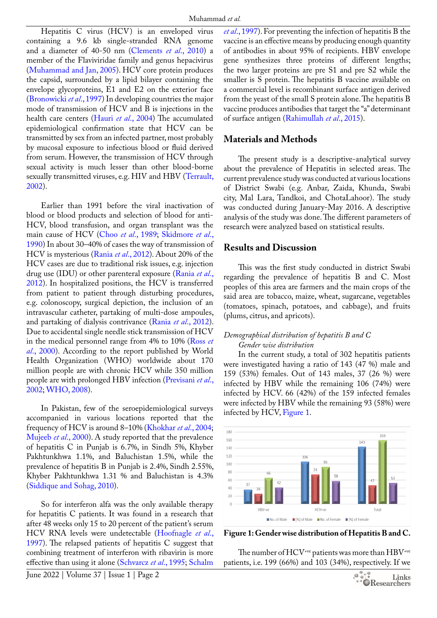Hepatitis C virus (HCV) is an enveloped virus containing a 9.6 kb single-stranded RNA genome and a diameter of 40-50 nm ([Clements](#page-4-2) *et al*., 2010) a member of the Flaviviridae family and genus hepacivirus ([Muhammad and Jan, 2005](#page-4-3)). HCV core protein produces the capsid, surrounded by a lipid bilayer containing the envelope glycoproteins, E1 and E2 on the exterior face ([Bronowicki](#page-4-4) *et al*., 1997) In developing countries the major mode of transmission of HCV and B is injections in the health care centers (Hauri *et al*[., 2004\)](#page-4-5) The accumulated epidemiological confirmation state that HCV can be transmitted by sex from an infected partner, most probably by mucosal exposure to infectious blood or fluid derived from serum. However, the transmission of HCV through sexual activity is much lesser than other blood-borne sexually transmitted viruses, e.g. HIV and HBV ([Terrault,](#page-5-0)  [2002\)](#page-5-0).

Earlier than 1991 before the viral inactivation of blood or blood products and selection of blood for anti-HCV, blood transfusion, and organ transplant was the main cause of HCV (Choo *et al*[., 1989;](#page-4-6) [Skidmore](#page-5-1) *et al*., [1990\)](#page-5-1) In about 30–40% of cases the way of transmission of HCV is mysterious (Rania *et al*[., 2012](#page-4-7)). About 20% of the HCV cases are due to traditional risk issues, e.g. injection drug use (IDU) or other parenteral exposure ([Rania](#page-4-7) *et al*., [2012\)](#page-4-7). In hospitalized positions, the HCV is transferred from patient to patient through disturbing procedures, e.g. colonoscopy, surgical depiction, the inclusion of an intravascular catheter, partaking of multi-dose ampoules, and partaking of dialysis contrivance (Rania *et al*[., 2012\)](#page-4-7). Due to accidental single needle stick transmission of HCV in the medical personnel range from 4% to 10% ([Ross](#page-5-2) *et al*[., 2000](#page-5-2)). According to the report published by World Health Organization (WHO) worldwide about 170 million people are with chronic HCV while 350 million people are with prolonged HBV infection ([Previsani](#page-4-8) *et al*., [2002;](#page-4-8) [WHO, 2008\)](#page-5-3).

In Pakistan, few of the seroepidemiological surveys accompanied in various locations reported that the frequency of HCV is around 8–10% [\(Khokhar](#page-4-9) *et al*., 2004; [Mujeeb](#page-4-10) *et al*., 2000). A study reported that the prevalence of hepatitis C in Punjab is 6.7%, in Sindh 5%, Khyber Pakhtunkhwa 1.1%, and Baluchistan 1.5%, while the prevalence of hepatitis B in Punjab is 2.4%, Sindh 2.55%, Khyber Pakhtunkhwa 1.31 % and Baluchistan is 4.3% ([Siddique and Sohag, 2010](#page-5-4)).

So for interferon alfa was the only available therapy for hepatitis C patients. It was found in a research that after 48 weeks only 15 to 20 percent of the patient's serum HCV RNA levels were undetectable [\(Hoofnagle](#page-4-11) *et al*., [1997\)](#page-4-11). The relapsed patients of hepatitis C suggest that combining treatment of interferon with ribavirin is more effective than using it alone [\(Schvarcz](#page-5-5) *et al*., 1995; [Schalm](#page-5-6) 

*et al*[., 1997](#page-5-6)). For preventing the infection of hepatitis B the vaccine is an effective means by producing enough quantity of antibodies in about 95% of recipients. HBV envelope gene synthesizes three proteins of different lengths; the two larger proteins are pre S1 and pre S2 while the smaller is S protein. The hepatitis B vaccine available on a commercial level is recombinant surface antigen derived from the yeast of the small S protein alone. The hepatitis B vaccine produces antibodies that target the "a" determinant of surface antigen [\(Rahimullah](#page-4-12) *et al*., 2015).

# **Materials and Methods**

The present study is a descriptive-analytical survey about the prevalence of Hepatitis in selected areas. The current prevalence study was conducted at various locations of District Swabi (e.g. Anbar, Zaida, Khunda, Swabi city, Mal Lara, Tandkoi, and ChotaLahoor). The study was conducted during January-May 2016. A descriptive analysis of the study was done. The different parameters of research were analyzed based on statistical results.

## **Results and Discussion**

This was the first study conducted in district Swabi regarding the prevalence of hepatitis B and C. Most peoples of this area are farmers and the main crops of the said area are tobacco, maize, wheat, sugarcane, vegetables (tomatoes, spinach, potatoes, and cabbage), and fruits (plums, citrus, and apricots).

## *Demographical distribution of hepatitis B and C Gender wise distribution*

In the current study, a total of 302 hepatitis patients were investigated having a ratio of 143 (47 %) male and 159 (53%) females. Out of 143 males, 37 (26 %) were infected by HBV while the remaining 106 (74%) were infected by HCV. 66 (42%) of the 159 infected females were infected by HBV while the remaining 93 (58%) were infected by HCV, [Figure 1.](#page-1-0)



<span id="page-1-0"></span>**Figure 1: Gender wise distribution of Hepatitis B and C.**

The number of HCV<sup>+ve</sup> patients was more than HBV<sup>+ve</sup> patients, i.e. 199 (66%) and 103 (34%), respectively. If we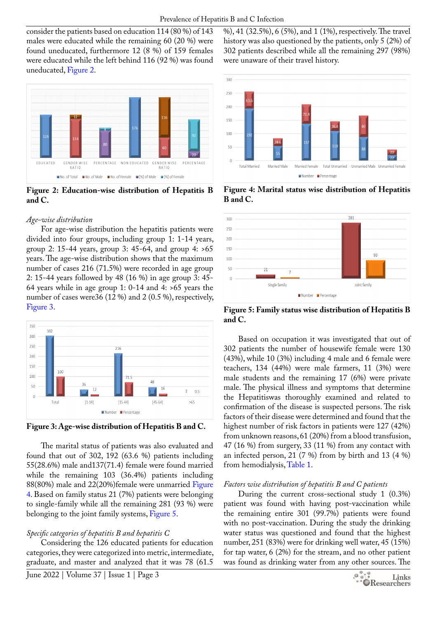consider the patients based on education 114 (80 %) of 143 males were educated while the remaining 60 (20 %) were found uneducated, furthermore 12 (8 %) of 159 females were educated while the left behind 116 (92 %) was found uneducated, [Figure 2](#page-2-0).



<span id="page-2-0"></span>**Figure 2: Education-wise distribution of Hepatitis B and C.**

#### *Age-wise distribution*

For age-wise distribution the hepatitis patients were divided into four groups, including group 1: 1-14 years, group 2: 15-44 years, group 3: 45-64, and group 4: >65 years. The age-wise distribution shows that the maximum number of cases 216 (71.5%) were recorded in age group 2: 15-44 years followed by 48 (16 %) in age group 3: 45- 64 years while in age group 1: 0-14 and 4: >65 years the number of cases were36 (12 %) and 2 (0.5 %), respectively, [Figure 3.](#page-2-1)



<span id="page-2-1"></span>**Figure 3: Age-wise distribution of Hepatitis B and C.**

The marital status of patients was also evaluated and found that out of 302, 192 (63.6 %) patients including 55(28.6%) male and137(71.4) female were found married while the remaining 103 (36.4%) patients including 88(80%) male and 22(20%)female were unmarried [Figure](#page-2-2)  [4.](#page-2-2) Based on family status 21 (7%) patients were belonging to single-family while all the remaining 281 (93 %) were belonging to the joint family systems, [Figure 5](#page-2-3).

## *Specific categories of hepatitis B and hepatitis C*

Considering the 126 educated patients for education categories, they were categorized into metric, intermediate, graduate, and master and analyzed that it was 78 (61.5

%), 41 (32.5%), 6 (5%), and 1 (1%), respectively. The travel history was also questioned by the patients, only 5 (2%) of 302 patients described while all the remaining 297 (98%) were unaware of their travel history.



<span id="page-2-2"></span>**Figure 4: Marital status wise distribution of Hepatitis B and C.**



<span id="page-2-3"></span>**Figure 5: Family status wise distribution of Hepatitis B and C.**

Based on occupation it was investigated that out of 302 patients the number of housewife female were 130 (43%), while 10 (3%) including 4 male and 6 female were teachers, 134 (44%) were male farmers, 11 (3%) were male students and the remaining 17 (6%) were private male. The physical illness and symptoms that determine the Hepatitiswas thoroughly examined and related to confirmation of the disease is suspected persons. The risk factors of their disease were determined and found that the highest number of risk factors in patients were 127 (42%) from unknown reasons, 61 (20%) from a blood transfusion, 47 (16 %) from surgery, 33 (11 %) from any contact with an infected person, 21 (7 %) from by birth and 13 (4 %) from hemodialysis, [Table 1.](#page-3-0)

### *Factors wise distribution of hepatitis B and C patients*

During the current cross-sectional study 1 (0.3%) patient was found with having post-vaccination while the remaining entire 301 (99.7%) patients were found with no post-vaccination. During the study the drinking water status was questioned and found that the highest number, 251 (83%) were for drinking well water, 45 (15%) for tap water, 6 (2%) for the stream, and no other patient was found as drinking water from any other sources. The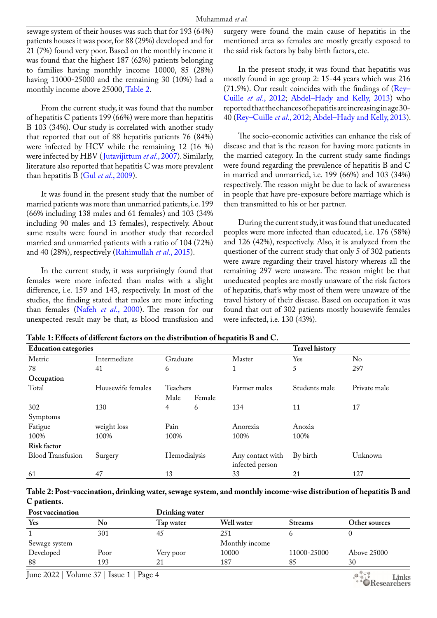sewage system of their houses was such that for 193 (64%) patients houses it was poor, for 88 (29%) developed and for 21 (7%) found very poor. Based on the monthly income it was found that the highest 187 (62%) patients belonging to families having monthly income 10000, 85 (28%) having 11000-25000 and the remaining 30 (10%) had a monthly income above 25000, [Table 2.](#page-3-1)

From the current study, it was found that the number of hepatitis C patients 199 (66%) were more than hepatitis B 103 (34%). Our study is correlated with another study that reported that out of 88 hepatitis patients 76 (84%) were infected by HCV while the remaining 12 (16 %) were infected by HBV ([Jutavijittum](#page-4-13) *et al*., 2007). Similarly, literature also reported that hepatitis C was more prevalent than hepatitis B (Gul *et al*[., 2009\)](#page-4-14).

It was found in the present study that the number of married patients was more than unmarried patients, i.e. 199 (66% including 138 males and 61 females) and 103 (34% including 90 males and 13 females), respectively. About same results were found in another study that recorded married and unmarried patients with a ratio of 104 (72%) and 40 (28%), respectively [\(Rahimullah](#page-4-12) *et al*., 2015).

In the current study, it was surprisingly found that females were more infected than males with a slight difference, i.e. 159 and 143, respectively. In most of the studies, the finding stated that males are more infecting than females (Nafeh *et al*[., 2000](#page-4-15)). The reason for our unexpected result may be that, as blood transfusion and surgery were found the main cause of hepatitis in the mentioned area so females are mostly greatly exposed to the said risk factors by baby birth factors, etc.

In the present study, it was found that hepatitis was mostly found in age group 2: 15-44 years which was 216 (71.5%). Our result coincides with the findings of  $(Rey-$ [Cuille](#page-4-16) *et al*., 2012; [Abdel–Hady and Kelly](#page-4-17), 2013) who reported that the chances of hepatitis are increasing in age 30- 40 ([Rey–Cuille](#page-4-16) *et al*., 2012; [Abdel–Hady and Kelly,](#page-4-17) 2013).

The socio-economic activities can enhance the risk of disease and that is the reason for having more patients in the married category. In the current study same findings were found regarding the prevalence of hepatitis B and C in married and unmarried, i.e. 199 (66%) and 103 (34%) respectively. The reason might be due to lack of awareness in people that have pre-exposure before marriage which is then transmitted to his or her partner.

During the current study, it was found that uneducated peoples were more infected than educated, i.e. 176 (58%) and 126 (42%), respectively. Also, it is analyzed from the questioner of the current study that only 5 of 302 patients were aware regarding their travel history whereas all the remaining 297 were unaware. The reason might be that uneducated peoples are mostly unaware of the risk factors of hepatitis, that's why most of them were unaware of the travel history of their disease. Based on occupation it was found that out of 302 patients mostly housewife females were infected, i.e. 130 (43%).

<span id="page-3-0"></span>

| Table 1: Effects of different factors on the distribution of hepatitis B and C. |
|---------------------------------------------------------------------------------|
|---------------------------------------------------------------------------------|

| <b>Education categories</b> |                   | <b>Travel history</b> |                  |               |              |
|-----------------------------|-------------------|-----------------------|------------------|---------------|--------------|
| Metric                      | Intermediate      | Graduate              | Master           | Yes           | No           |
| 78                          | 41                | 6                     | $\mathbf{1}$     | 5             | 297          |
| Occupation                  |                   |                       |                  |               |              |
| Total                       | Housewife females | Teachers              | Farmer males     | Students male | Private male |
|                             |                   | Male<br>Female        |                  |               |              |
| 302                         | 130               | 4<br>6                | 134              | 11            | 17           |
| Symptoms                    |                   |                       |                  |               |              |
| Fatigue                     | weight loss       | Pain                  | Anorexia         | Anoxia        |              |
| 100%                        | 100%              | 100%                  | 100%             | 100%          |              |
| Risk factor                 |                   |                       |                  |               |              |
| <b>Blood Transfusion</b>    | Surgery           | Hemodialysis          | Any contact with | By birth      | Unknown      |
|                             |                   |                       | infected person  |               |              |
| 61                          | 47                | 13                    | 33               | 21            | 127          |

<span id="page-3-1"></span>**Table 2: Post-vaccination, drinking water, sewage system, and monthly income-wise distribution of hepatitis B and C patients.**

| Post vaccination |      | Drinking water |                |                |               |
|------------------|------|----------------|----------------|----------------|---------------|
| Yes              | No   | Tap water      | Well water     | <b>Streams</b> | Other sources |
|                  | 301  | 45             | 251            |                |               |
| Sewage system    |      |                | Monthly income |                |               |
| Developed        | Poor | Very poor      | 10000          | 11000-25000    | Above 25000   |
| 88               | 193  |                | 187            | 85             | 30            |

June 2022 | Volume 37 | Issue 1 | Page 4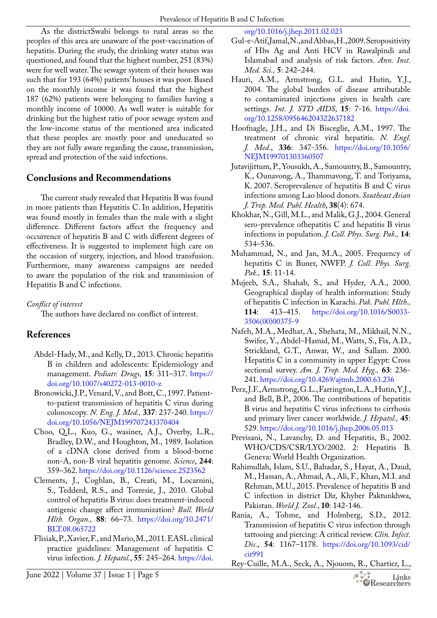As the districtSwabi belongs to rural areas so the peoples of this area are unaware of the post-vaccination of hepatitis. During the study, the drinking water status was questioned, and found that the highest number, 251 (83%) were for well water. The sewage system of their houses was such that for 193 (64%) patients' houses it was poor. Based on the monthly income it was found that the highest 187 (62%) patients were belonging to families having a monthly income of 10000. As well water is suitable for drinking but the highest ratio of poor sewage system and the low-income status of the mentioned area indicated that these peoples are mostly poor and uneducated so they are not fully aware regarding the cause, transmission, spread and protection of the said infections.

# **Conclusions and Recommendations**

The current study revealed that Hepatitis B was found in more patients than Hepatitis C. In addition, Hepatitis was found mostly in females than the male with a slight difference. Different factors affect the frequency and occurrence of hepatitis B and C with different degrees of effectiveness. It is suggested to implement high care on the occasion of surgery, injection, and blood transfusion. Furthermore, many awareness campaigns are needed to aware the population of the risk and transmission of Hepatitis B and C infections.

*Conflict of interest*

The authors have declared no conflict of interest.

# **References**

- <span id="page-4-17"></span>Abdel-Hady, M., and Kelly, D., 2013. Chronic hepatitis B in children and adolescents: Epidemiology and management. *Pediatr. Drugs,* **15**: 311–317. [https://](https://doi.org/10.1007/s40272-013-0010-z) [doi.org/10.1007/s40272-013-0010-z](https://doi.org/10.1007/s40272-013-0010-z)
- <span id="page-4-4"></span>Bronowicki, J.P., Venard, V., and Bott, C., 1997. Patientto-patient transmission of hepatitis C virus during colonoscopy. *N. Eng. J. Med.,* **337**: 237-240. [https://](https://doi.org/10.1056/NEJM199707243370404) [doi.org/10.1056/NEJM199707243370404](https://doi.org/10.1056/NEJM199707243370404)
- <span id="page-4-6"></span>Choo, Q.L., Kuo, G., wasiner, A.J., Overby, L.R., Bradley, D.W., and Houghton, M., 1989. Isolation of a cDNA clone derived from a blood-borne non-A, non-B viral hepatitis genome. *Science*, **244**: 359–362. <https://doi.org/10.1126/science.2523562>
- <span id="page-4-2"></span>Clements, J., Coghlan, B., Creati, M., Locarnini, S., Tedderd, R.S., and Torresie, J., 2010. Global control of hepatitis B virus: does treatment-induced antigenic change affect immunization? *Bull. World Hlth. Organ.,* **88**: 66–73. [https://doi.org/10.2471/](https://doi.org/10.2471/BLT.08.065722) [BLT.08.065722](https://doi.org/10.2471/BLT.08.065722)
- <span id="page-4-1"></span>Flisiak, P., Xavier, F., and Mario, M., 2011. EASL clinical practice guidelines: Management of hepatitis C virus infection. *J. Hepatol.*, **55**: 245–264. [https://doi.](https://doi.org/10.1016/j.jhep.2011.02.023)

[org/10.1016/j.jhep.2011.02.023](https://doi.org/10.1016/j.jhep.2011.02.023)

- <span id="page-4-14"></span>Gul-e-Atif, Jamal, N., and Abbas, H., 2009. Seropositivity of Hbs Ag and Anti HCV in Rawalpindi and Islamabad and analysis of risk factors. *Ann. Inst. Med. Sci.,* **5**: 242–244.
- <span id="page-4-5"></span>Hauri, A.M., Armstrong, G.L. and Hutin, Y.J., 2004. The global burden of disease attributable to contaminated injections given in health care settings. *Int. J. STD AIDS*, **15**: 7-16. [https://doi.](https://doi.org/10.1258/095646204322637182) [org/10.1258/095646204322637182](https://doi.org/10.1258/095646204322637182)
- <span id="page-4-11"></span>Hoofnagle, J.H., and Di Bisceglie, A.M., 1997. The treatment of chronic viral hepatitis. *N. Engl. J. Med.*, **336**: 347-356. [https://doi.org/10.1056/](https://doi.org/10.1056/NEJM199701303360507) [NEJM199701303360507](https://doi.org/10.1056/NEJM199701303360507)
- <span id="page-4-13"></span>Jutavijittum, P., Yousukh, A., Samountry, B., Samountry, K., Ounavong, A., Thammavong, T. and Toriyama, K. 2007. Seroprevalence of hepatitis B and C virus infections among Lao blood donors. *Southeast Asian J. Trop. Med. Publ. Health*, **38**(4): 674.
- <span id="page-4-9"></span>Khokhar, N., Gill, M.L., and Malik, G.J., 2004. General sero-prevalence ofhepatitis C and hepatitis B virus infections in population. *J. Coll. Phys. Surg. Pak.,* **14**: 534–536.
- <span id="page-4-3"></span>Muhammad, N., and Jan, M.A., 2005. Frequency of hepatitis C in Buner, NWFP. *J. Coll. Phys. Surg. Pak.,* **15**: 11-14.
- <span id="page-4-10"></span>Mujeeb, S.A., Shahab, S., and Hyder, A.A., 2000. Geographical display of health information: Study of hepatitis C infection in Karachi. *Pak. Publ. Hlth.,*  **114**: 413–415. [https://doi.org/10.1016/S0033-](https://doi.org/10.1016/S0033-3506(00)00375-9) [3506\(00\)00375-9](https://doi.org/10.1016/S0033-3506(00)00375-9)
- <span id="page-4-15"></span>Nafeh, M.A., Medhat, A., Shehata, M., Mikhail, N.N., Swifee, Y., Abdel–Hamid, M., Watts, S., Fix, A.D., Strickland, G.T., Anwar, W., and Sallam. 2000. Hepatitis C in a community in upper Egypt: Cross sectional survey. *Am. J. Trop. Med. Hyg.,* **63**: 236- 241.<https://doi.org/10.4269/ajtmh.2000.63.236>
- <span id="page-4-0"></span>Perz, J.F., Armstrong, G.L., Farrington, L.A., Hutin, Y.J., and Bell, B.P., 2006. The contributions of hepatitis B virus and hepatitis C virus infections to cirrhosis and primary liver cancer worldwide. *J. Hepatol.,* **45**: 529.<https://doi.org/10.1016/j.jhep.2006.05.013>
- <span id="page-4-8"></span>Previsani, N., Lavanchy, D. and Hepatitis, B., 2002. WHO/CDS/CSR/LYO/2002. 2: Hepatitis B. Geneva: World Health Organization.
- <span id="page-4-12"></span>Rahimullah, Islam, S.U., Bahadar, S., Hayat, A., Daud, M., Hassan, A., Ahmad, A., Ali, F., Khan, M.I. and Rehman, M.U., 2015. Prevalence of hepatitis B and C infection in district Dir, Khyber Paktunkhwa, Pakistan. *World J. Zool.*, **10**: 142-146.
- <span id="page-4-7"></span>Rania, A., Tohme, and Holmberg, S.D., 2012. Transmission of hepatitis C virus infection through tattooing and piercing: A critical review. *Clin. Infect. Dis*., **54**: 1167–1178. [https://doi.org/10.1093/cid/](https://doi.org/10.1093/cid/cir991) [cir991](https://doi.org/10.1093/cid/cir991)
- <span id="page-4-16"></span>Rey-Cuille, M.A., Seck, A., Njouom, R., Chartier, L.,